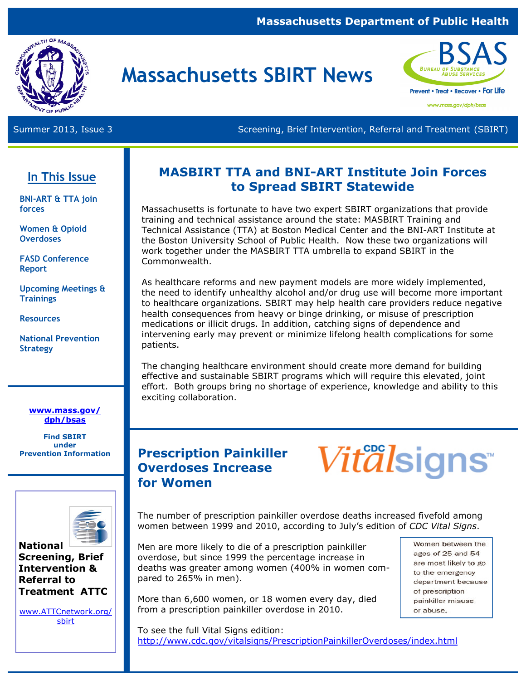### **Massachusetts Department of Public Health**



# **Massachusetts SBIRT News**



Summer 2013, Issue 3 Screening, Brief Intervention, Referral and Treatment (SBIRT)

# **In This Issue**

**BNI-ART & TTA join forces** 

**Women & Opioid Overdoses** 

**FASD Conference Report** 

**Upcoming Meetings & Trainings**

**Resources** 

**National Prevention Strategy** 

#### **www.mass.gov/ dph/bsas**

**Find SBIRT under**<br>**Prevention Information** 



#### **National Screening, Brief Intervention & Referral to Treatment ATTC**

www.ATTCnetwork.org/ sbirt

# **MASBIRT TTA and BNI-ART Institute Join Forces to Spread SBIRT Statewide**

Massachusetts is fortunate to have two expert SBIRT organizations that provide training and technical assistance around the state: MASBIRT Training and Technical Assistance (TTA) at Boston Medical Center and the BNI-ART Institute at the Boston University School of Public Health. Now these two organizations will work together under the MASBIRT TTA umbrella to expand SBIRT in the Commonwealth.

As healthcare reforms and new payment models are more widely implemented, the need to identify unhealthy alcohol and/or drug use will become more important to healthcare organizations. SBIRT may help health care providers reduce negative health consequences from heavy or binge drinking, or misuse of prescription medications or illicit drugs. In addition, catching signs of dependence and intervening early may prevent or minimize lifelong health complications for some patients.

The changing healthcare environment should create more demand for building effective and sustainable SBIRT programs which will require this elevated, joint effort. Both groups bring no shortage of experience, knowledge and ability to this exciting collaboration.

# **Prescription Painkiller Overdoses Increase for Women**

*Vitalsigns* 

The number of prescription painkiller overdose deaths increased fivefold among women between 1999 and 2010, according to July's edition of *CDC Vital Signs*.

Men are more likely to die of a prescription painkiller overdose, but since 1999 the percentage increase in deaths was greater among women (400% in women compared to 265% in men).

More than 6,600 women, or 18 women every day, died from a prescription painkiller overdose in 2010.

Women between the ages of 25 and 54 are most likely to go to the emergency department because of prescription painkiller misuse or abuse.

To see the full Vital Signs edition: http://www.cdc.gov/vitalsigns/PrescriptionPainkillerOverdoses/index.html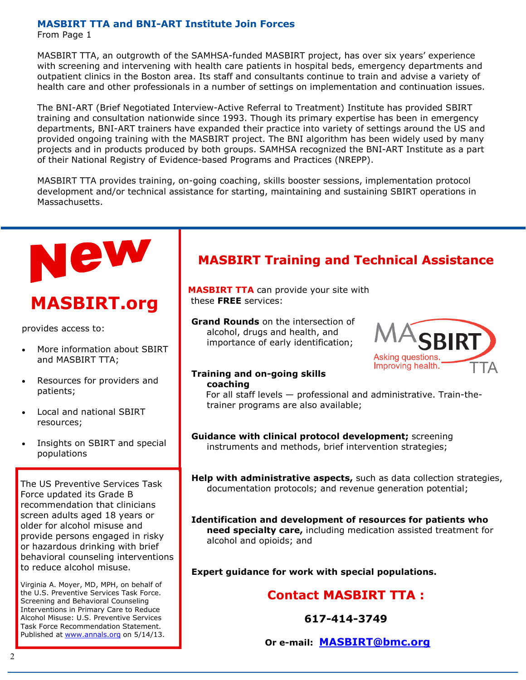#### **MASBIRT TTA and BNI-ART Institute Join Forces**

From Page 1

MASBIRT TTA, an outgrowth of the SAMHSA-funded MASBIRT project, has over six years' experience with screening and intervening with health care patients in hospital beds, emergency departments and outpatient clinics in the Boston area. Its staff and consultants continue to train and advise a variety of health care and other professionals in a number of settings on implementation and continuation issues.

The BNI-ART (Brief Negotiated Interview-Active Referral to Treatment) Institute has provided SBIRT training and consultation nationwide since 1993. Though its primary expertise has been in emergency departments, BNI-ART trainers have expanded their practice into variety of settings around the US and provided ongoing training with the MASBIRT project. The BNI algorithm has been widely used by many projects and in products produced by both groups. SAMHSA recognized the BNI-ART Institute as a part of their National Registry of Evidence-based Programs and Practices (NREPP).

MASBIRT TTA provides training, on-going coaching, skills booster sessions, implementation protocol development and/or technical assistance for starting, maintaining and sustaining SBIRT operations in Massachusetts.



# **MASBIRT.org**

provides access to:

- More information about SBIRT and MASBIRT TTA;
- Resources for providers and patients;
- Local and national SBIRT resources;
- Insights on SBIRT and special populations

The US Preventive Services Task Force updated its Grade B recommendation that clinicians screen adults aged 18 years or older for alcohol misuse and provide persons engaged in risky or hazardous drinking with brief behavioral counseling interventions to reduce alcohol misuse.

Virginia A. Moyer, MD, MPH, on behalf of the U.S. Preventive Services Task Force. Screening and Behavioral Counseling Interventions in Primary Care to Reduce Alcohol Misuse: U.S. Preventive Services Task Force Recommendation Statement. Published at www.annals.org on 5/14/13.

# **MASBIRT Training and Technical Assistance**

**MASBIRT TTA** can provide your site with these **FREE** services:

**Grand Rounds** on the intersection of alcohol, drugs and health, and importance of early identification;



#### **Training and on-going skills coaching**

For all staff levels — professional and administrative. Train-thetrainer programs are also available;

**Guidance with clinical protocol development;** screening instruments and methods, brief intervention strategies;

**Help with administrative aspects,** such as data collection strategies, documentation protocols; and revenue generation potential;

**Identification and development of resources for patients who need specialty care,** including medication assisted treatment for alcohol and opioids; and

**Expert guidance for work with special populations.** 

## **Contact MASBIRT TTA:**

**617-414-3749** 

**Or e-mail: MASBIRT@bmc.org**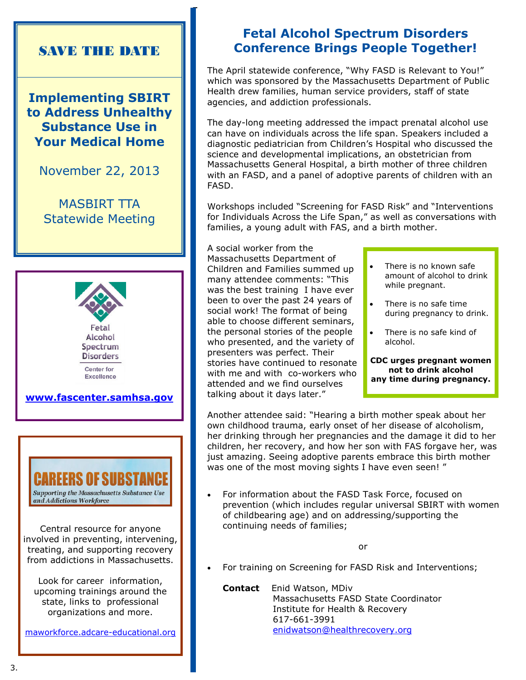# SAVE THE DATE

**Implementing SBIRT to Address Unhealthy Substance Use in Your Medical Home**

November 22, 2013

MASBIRT TTA Statewide Meeting





Central resource for anyone involved in preventing, intervening, treating, and supporting recovery from addictions in Massachusetts.

Look for career information, upcoming trainings around the state, links to professional organizations and more.

maworkforce.adcare-educational.org

# **Fetal Alcohol Spectrum Disorders Conference Brings People Together!**

The April statewide conference, "Why FASD is Relevant to You!" which was sponsored by the Massachusetts Department of Public Health drew families, human service providers, staff of state agencies, and addiction professionals.

The day-long meeting addressed the impact prenatal alcohol use can have on individuals across the life span. Speakers included a diagnostic pediatrician from Children's Hospital who discussed the science and developmental implications, an obstetrician from Massachusetts General Hospital, a birth mother of three children with an FASD, and a panel of adoptive parents of children with an FASD.

Workshops included "Screening for FASD Risk" and "Interventions for Individuals Across the Life Span," as well as conversations with families, a young adult with FAS, and a birth mother.

A social worker from the Massachusetts Department of Children and Families summed up many attendee comments: "This was the best training I have ever been to over the past 24 years of social work! The format of being able to choose different seminars, the personal stories of the people who presented, and the variety of presenters was perfect. Their stories have continued to resonate with me and with co-workers who attended and we find ourselves talking about it days later."

- There is no known safe amount of alcohol to drink while pregnant.
- There is no safe time during pregnancy to drink.
- There is no safe kind of alcohol.

**CDC urges pregnant women not to drink alcohol any time during pregnancy.**

Another attendee said: "Hearing a birth mother speak about her own childhood trauma, early onset of her disease of alcoholism, her drinking through her pregnancies and the damage it did to her children, her recovery, and how her son with FAS forgave her, was just amazing. Seeing adoptive parents embrace this birth mother was one of the most moving sights I have even seen! "

• For information about the FASD Task Force, focused on prevention (which includes regular universal SBIRT with women of childbearing age) and on addressing/supporting the continuing needs of families;

or

• For training on Screening for FASD Risk and Interventions;

**Contact** Enid Watson, MDiv Massachusetts FASD State Coordinator Institute for Health & Recovery 617-661-3991 enidwatson@healthrecovery.org